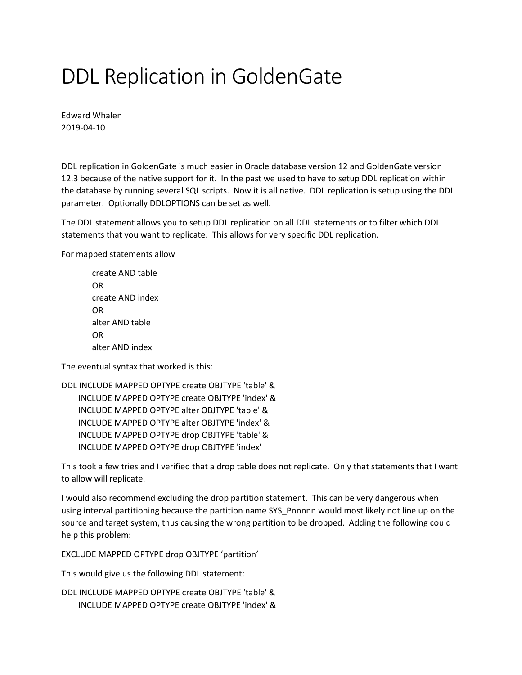## DDL Replication in GoldenGate

Edward Whalen 2019-04-10

DDL replication in GoldenGate is much easier in Oracle database version 12 and GoldenGate version 12.3 because of the native support for it. In the past we used to have to setup DDL replication within the database by running several SQL scripts. Now it is all native. DDL replication is setup using the DDL parameter. Optionally DDLOPTIONS can be set as well.

The DDL statement allows you to setup DDL replication on all DDL statements or to filter which DDL statements that you want to replicate. This allows for very specific DDL replication.

For mapped statements allow

create AND table OR create AND index OR alter AND table OR alter AND index

The eventual syntax that worked is this:

DDL INCLUDE MAPPED OPTYPE create OBJTYPE 'table' & INCLUDE MAPPED OPTYPE create OBJTYPE 'index' & INCLUDE MAPPED OPTYPE alter OBJTYPE 'table' & INCLUDE MAPPED OPTYPE alter OBJTYPE 'index' & INCLUDE MAPPED OPTYPE drop OBJTYPE 'table' & INCLUDE MAPPED OPTYPE drop OBJTYPE 'index'

This took a few tries and I verified that a drop table does not replicate. Only that statements that I want to allow will replicate.

I would also recommend excluding the drop partition statement. This can be very dangerous when using interval partitioning because the partition name SYS\_Pnnnnn would most likely not line up on the source and target system, thus causing the wrong partition to be dropped. Adding the following could help this problem:

EXCLUDE MAPPED OPTYPE drop OBJTYPE 'partition'

This would give us the following DDL statement:

DDL INCLUDE MAPPED OPTYPE create OBJTYPE 'table' & INCLUDE MAPPED OPTYPE create OBJTYPE 'index' &